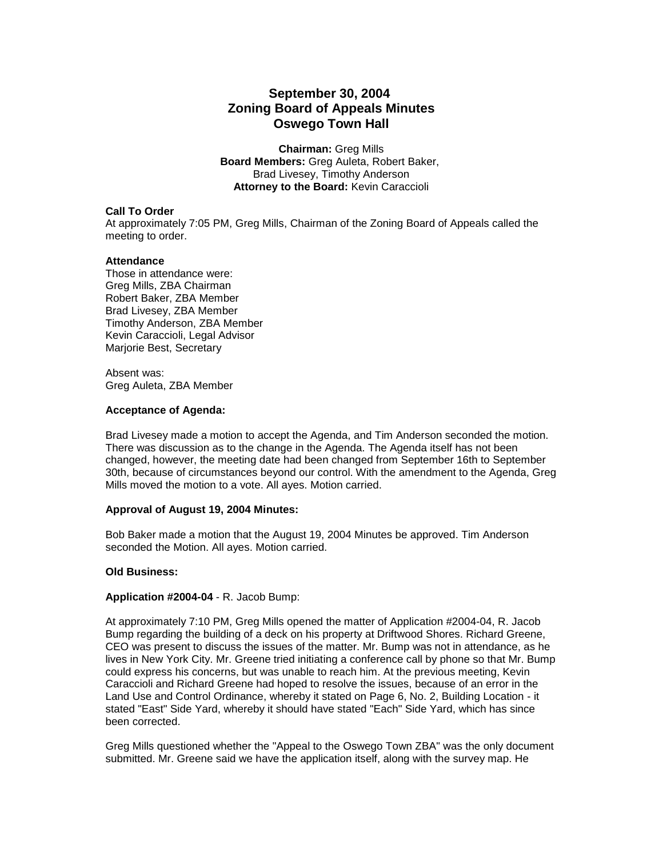# **September 30, 2004 Zoning Board of Appeals Minutes Oswego Town Hall**

**Chairman:** Greg Mills **Board Members:** Greg Auleta, Robert Baker, Brad Livesey, Timothy Anderson **Attorney to the Board:** Kevin Caraccioli

# **Call To Order**

At approximately 7:05 PM, Greg Mills, Chairman of the Zoning Board of Appeals called the meeting to order.

# **Attendance**

Those in attendance were: Greg Mills, ZBA Chairman Robert Baker, ZBA Member Brad Livesey, ZBA Member Timothy Anderson, ZBA Member Kevin Caraccioli, Legal Advisor Marjorie Best, Secretary

Absent was: Greg Auleta, ZBA Member

# **Acceptance of Agenda:**

Brad Livesey made a motion to accept the Agenda, and Tim Anderson seconded the motion. There was discussion as to the change in the Agenda. The Agenda itself has not been changed, however, the meeting date had been changed from September 16th to September 30th, because of circumstances beyond our control. With the amendment to the Agenda, Greg Mills moved the motion to a vote. All ayes. Motion carried.

#### **Approval of August 19, 2004 Minutes:**

Bob Baker made a motion that the August 19, 2004 Minutes be approved. Tim Anderson seconded the Motion. All ayes. Motion carried.

# **Old Business:**

#### **Application #2004-04** - R. Jacob Bump:

At approximately 7:10 PM, Greg Mills opened the matter of Application #2004-04, R. Jacob Bump regarding the building of a deck on his property at Driftwood Shores. Richard Greene, CEO was present to discuss the issues of the matter. Mr. Bump was not in attendance, as he lives in New York City. Mr. Greene tried initiating a conference call by phone so that Mr. Bump could express his concerns, but was unable to reach him. At the previous meeting, Kevin Caraccioli and Richard Greene had hoped to resolve the issues, because of an error in the Land Use and Control Ordinance, whereby it stated on Page 6, No. 2, Building Location - it stated "East" Side Yard, whereby it should have stated "Each" Side Yard, which has since been corrected.

Greg Mills questioned whether the "Appeal to the Oswego Town ZBA" was the only document submitted. Mr. Greene said we have the application itself, along with the survey map. He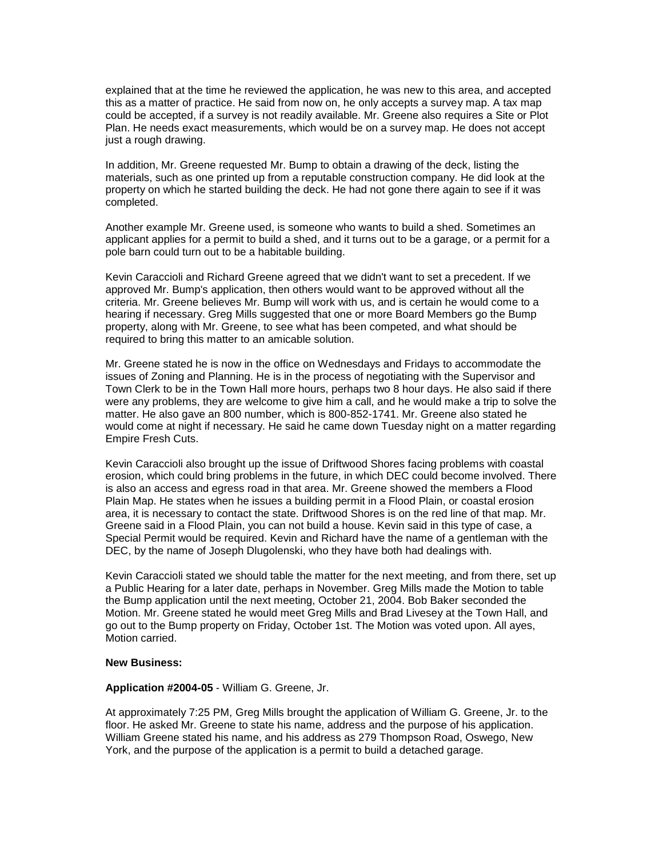explained that at the time he reviewed the application, he was new to this area, and accepted this as a matter of practice. He said from now on, he only accepts a survey map. A tax map could be accepted, if a survey is not readily available. Mr. Greene also requires a Site or Plot Plan. He needs exact measurements, which would be on a survey map. He does not accept just a rough drawing.

In addition, Mr. Greene requested Mr. Bump to obtain a drawing of the deck, listing the materials, such as one printed up from a reputable construction company. He did look at the property on which he started building the deck. He had not gone there again to see if it was completed.

Another example Mr. Greene used, is someone who wants to build a shed. Sometimes an applicant applies for a permit to build a shed, and it turns out to be a garage, or a permit for a pole barn could turn out to be a habitable building.

Kevin Caraccioli and Richard Greene agreed that we didn't want to set a precedent. If we approved Mr. Bump's application, then others would want to be approved without all the criteria. Mr. Greene believes Mr. Bump will work with us, and is certain he would come to a hearing if necessary. Greg Mills suggested that one or more Board Members go the Bump property, along with Mr. Greene, to see what has been competed, and what should be required to bring this matter to an amicable solution.

Mr. Greene stated he is now in the office on Wednesdays and Fridays to accommodate the issues of Zoning and Planning. He is in the process of negotiating with the Supervisor and Town Clerk to be in the Town Hall more hours, perhaps two 8 hour days. He also said if there were any problems, they are welcome to give him a call, and he would make a trip to solve the matter. He also gave an 800 number, which is 800-852-1741. Mr. Greene also stated he would come at night if necessary. He said he came down Tuesday night on a matter regarding Empire Fresh Cuts.

Kevin Caraccioli also brought up the issue of Driftwood Shores facing problems with coastal erosion, which could bring problems in the future, in which DEC could become involved. There is also an access and egress road in that area. Mr. Greene showed the members a Flood Plain Map. He states when he issues a building permit in a Flood Plain, or coastal erosion area, it is necessary to contact the state. Driftwood Shores is on the red line of that map. Mr. Greene said in a Flood Plain, you can not build a house. Kevin said in this type of case, a Special Permit would be required. Kevin and Richard have the name of a gentleman with the DEC, by the name of Joseph Dlugolenski, who they have both had dealings with.

Kevin Caraccioli stated we should table the matter for the next meeting, and from there, set up a Public Hearing for a later date, perhaps in November. Greg Mills made the Motion to table the Bump application until the next meeting, October 21, 2004. Bob Baker seconded the Motion. Mr. Greene stated he would meet Greg Mills and Brad Livesey at the Town Hall, and go out to the Bump property on Friday, October 1st. The Motion was voted upon. All ayes, Motion carried.

#### **New Business:**

#### **Application #2004-05** - William G. Greene, Jr.

At approximately 7:25 PM, Greg Mills brought the application of William G. Greene, Jr. to the floor. He asked Mr. Greene to state his name, address and the purpose of his application. William Greene stated his name, and his address as 279 Thompson Road, Oswego, New York, and the purpose of the application is a permit to build a detached garage.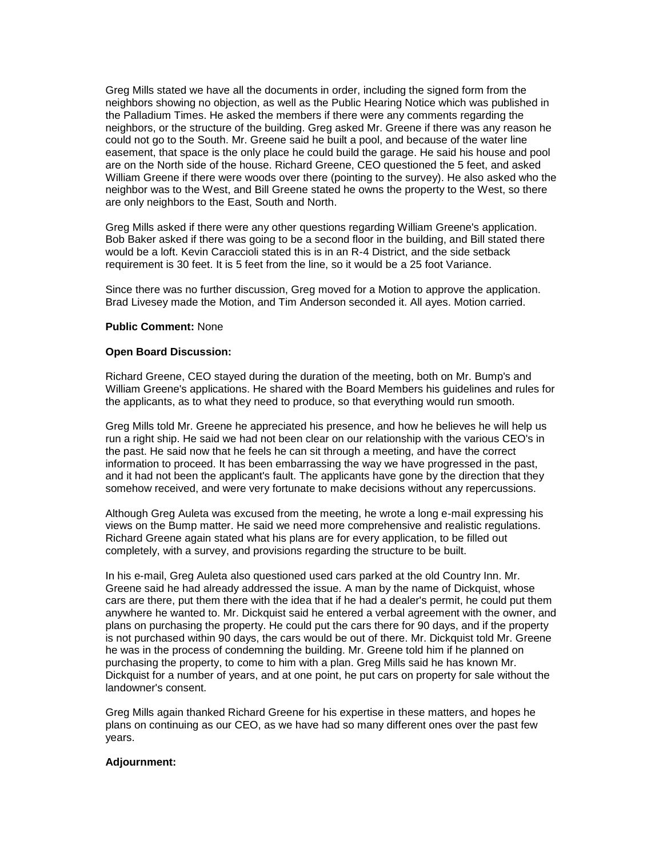Greg Mills stated we have all the documents in order, including the signed form from the neighbors showing no objection, as well as the Public Hearing Notice which was published in the Palladium Times. He asked the members if there were any comments regarding the neighbors, or the structure of the building. Greg asked Mr. Greene if there was any reason he could not go to the South. Mr. Greene said he built a pool, and because of the water line easement, that space is the only place he could build the garage. He said his house and pool are on the North side of the house. Richard Greene, CEO questioned the 5 feet, and asked William Greene if there were woods over there (pointing to the survey). He also asked who the neighbor was to the West, and Bill Greene stated he owns the property to the West, so there are only neighbors to the East, South and North.

Greg Mills asked if there were any other questions regarding William Greene's application. Bob Baker asked if there was going to be a second floor in the building, and Bill stated there would be a loft. Kevin Caraccioli stated this is in an R-4 District, and the side setback requirement is 30 feet. It is 5 feet from the line, so it would be a 25 foot Variance.

Since there was no further discussion, Greg moved for a Motion to approve the application. Brad Livesey made the Motion, and Tim Anderson seconded it. All ayes. Motion carried.

# **Public Comment:** None

# **Open Board Discussion:**

Richard Greene, CEO stayed during the duration of the meeting, both on Mr. Bump's and William Greene's applications. He shared with the Board Members his guidelines and rules for the applicants, as to what they need to produce, so that everything would run smooth.

Greg Mills told Mr. Greene he appreciated his presence, and how he believes he will help us run a right ship. He said we had not been clear on our relationship with the various CEO's in the past. He said now that he feels he can sit through a meeting, and have the correct information to proceed. It has been embarrassing the way we have progressed in the past, and it had not been the applicant's fault. The applicants have gone by the direction that they somehow received, and were very fortunate to make decisions without any repercussions.

Although Greg Auleta was excused from the meeting, he wrote a long e-mail expressing his views on the Bump matter. He said we need more comprehensive and realistic regulations. Richard Greene again stated what his plans are for every application, to be filled out completely, with a survey, and provisions regarding the structure to be built.

In his e-mail, Greg Auleta also questioned used cars parked at the old Country Inn. Mr. Greene said he had already addressed the issue. A man by the name of Dickquist, whose cars are there, put them there with the idea that if he had a dealer's permit, he could put them anywhere he wanted to. Mr. Dickquist said he entered a verbal agreement with the owner, and plans on purchasing the property. He could put the cars there for 90 days, and if the property is not purchased within 90 days, the cars would be out of there. Mr. Dickquist told Mr. Greene he was in the process of condemning the building. Mr. Greene told him if he planned on purchasing the property, to come to him with a plan. Greg Mills said he has known Mr. Dickquist for a number of years, and at one point, he put cars on property for sale without the landowner's consent.

Greg Mills again thanked Richard Greene for his expertise in these matters, and hopes he plans on continuing as our CEO, as we have had so many different ones over the past few years.

## **Adjournment:**